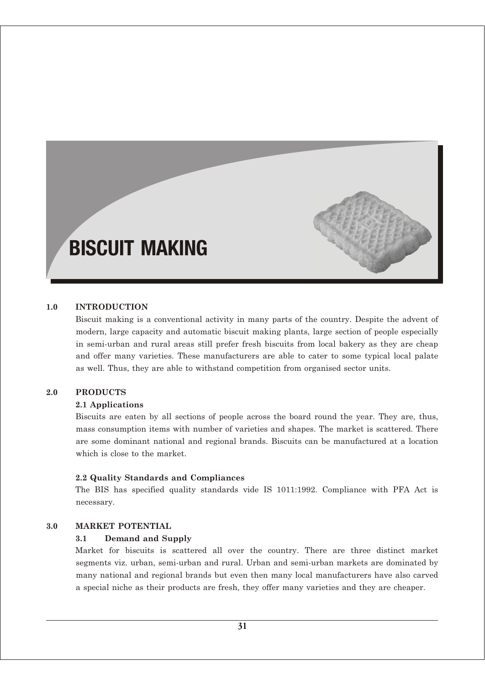# BISCUIT MAKING

# **1.0 INTRODUCTION**

Biscuit making is a conventional activity in many parts of the country. Despite the advent of modern, large capacity and automatic biscuit making plants, large section of people especially in semi-urban and rural areas still prefer fresh biscuits from local bakery as they are cheap and offer many varieties. These manufacturers are able to cater to some typical local palate as well. Thus, they are able to withstand competition from organised sector units.

### **2.0 PRODUCTS**

### **2.1 Applications**

Biscuits are eaten by all sections of people across the board round the year. They are, thus, mass consumption items with number of varieties and shapes. The market is scattered. There are some dominant national and regional brands. Biscuits can be manufactured at a location which is close to the market.

### **2.2 Quality Standards and Compliances**

The BIS has specified quality standards vide IS 1011:1992. Compliance with PFA Act is necessary.

### **3.0 MARKET POTENTIAL**

### **3.1 Demand and Supply**

Market for biscuits is scattered all over the country. There are three distinct market segments viz. urban, semi-urban and rural. Urban and semi-urban markets are dominated by many national and regional brands but even then many local manufacturers have also carved a special niche as their products are fresh, they offer many varieties and they are cheaper.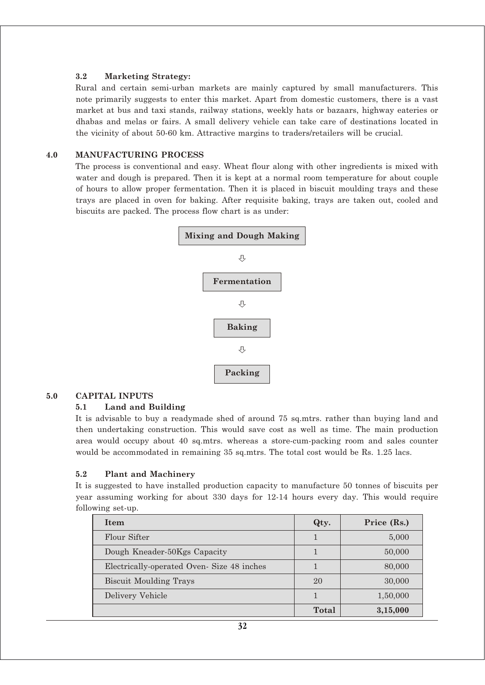# **3.2 Marketing Strategy:**

Rural and certain semi-urban markets are mainly captured by small manufacturers. This note primarily suggests to enter this market. Apart from domestic customers, there is a vast market at bus and taxi stands, railway stations, weekly hats or bazaars, highway eateries or dhabas and melas or fairs. A small delivery vehicle can take care of destinations located in the vicinity of about 50-60 km. Attractive margins to traders/retailers will be crucial.

# **4.0 MANUFACTURING PROCESS**

The process is conventional and easy. Wheat flour along with other ingredients is mixed with water and dough is prepared. Then it is kept at a normal room temperature for about couple of hours to allow proper fermentation. Then it is placed in biscuit moulding trays and these trays are placed in oven for baking. After requisite baking, trays are taken out, cooled and biscuits are packed. The process flow chart is as under:



# **5.0 CAPITAL INPUTS**

# **5.1 Land and Building**

It is advisable to buy a readymade shed of around 75 sq.mtrs. rather than buying land and then undertaking construction. This would save cost as well as time. The main production area would occupy about 40 sq.mtrs. whereas a store-cum-packing room and sales counter would be accommodated in remaining 35 sq.mtrs. The total cost would be Rs. 1.25 lacs.

# **5.2 Plant and Machinery**

It is suggested to have installed production capacity to manufacture 50 tonnes of biscuits per year assuming working for about 330 days for 12-14 hours every day. This would require following set-up.

| Item                                      | Qty.  | Price (Rs.) |
|-------------------------------------------|-------|-------------|
| Flour Sifter                              |       | 5,000       |
| Dough Kneader-50Kgs Capacity              |       | 50,000      |
| Electrically-operated Oven-Size 48 inches |       | 80,000      |
| <b>Biscuit Moulding Trays</b>             | 20    | 30,000      |
| Delivery Vehicle                          |       | 1,50,000    |
|                                           | Total | 3,15,000    |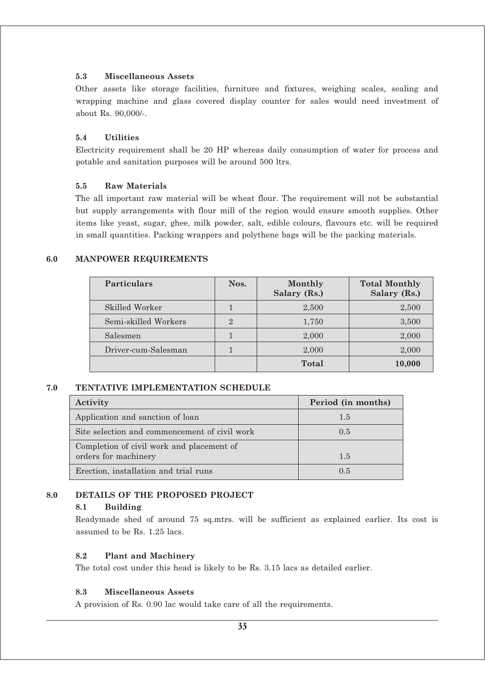# **5.3 Miscellaneous Assets**

Other assets like storage facilities, furniture and fixtures, weighing scales, sealing and wrapping machine and glass covered display counter for sales would need investment of about Rs. 90,000/-.

# **5.4 Utilities**

Electricity requirement shall be 20 HP whereas daily consumption of water for process and potable and sanitation purposes will be around 500 ltrs.

# **5.5 Raw Materials**

The all important raw material will be wheat flour. The requirement will not be substantial but supply arrangements with flour mill of the region would ensure smooth supplies. Other items like yeast, sugar, ghee, milk powder, salt, edible colours, flavours etc. will be required in small quantities. Packing wrappers and polythene bags will be the packing materials.

# **6.0 MANPOWER REQUIREMENTS**

| <b>Particulars</b>   | Nos.           | Monthly<br>Salary (Rs.) | <b>Total Monthly</b><br>Salary (Rs.) |
|----------------------|----------------|-------------------------|--------------------------------------|
| Skilled Worker       |                | 2,500                   | 2,500                                |
| Semi-skilled Workers | $\overline{2}$ | 1,750                   | 3,500                                |
| Salesmen             |                | 2,000                   | 2,000                                |
| Driver-cum-Salesman  |                | 2,000                   | 2,000                                |
|                      |                | Total                   | 10,000                               |

# **7.0 TENTATIVE IMPLEMENTATION SCHEDULE**

| Activity                                                          | Period (in months) |
|-------------------------------------------------------------------|--------------------|
| Application and sanction of loan                                  | 1.5                |
| Site selection and commencement of civil work                     | 0.5                |
| Completion of civil work and placement of<br>orders for machinery | 1.5                |
| Erection, installation and trial runs                             | 0.5                |

# **8.0 DETAILS OF THE PROPOSED PROJECT**

# **8.1 Building**

Readymade shed of around 75 sq.mtrs. will be sufficient as explained earlier. Its cost is assumed to be Rs. 1.25 lacs.

# **8.2 Plant and Machinery**

The total cost under this head is likely to be Rs. 3.15 lacs as detailed earlier.

# **8.3 Miscellaneous Assets**

A provision of Rs. 0.90 lac would take care of all the requirements.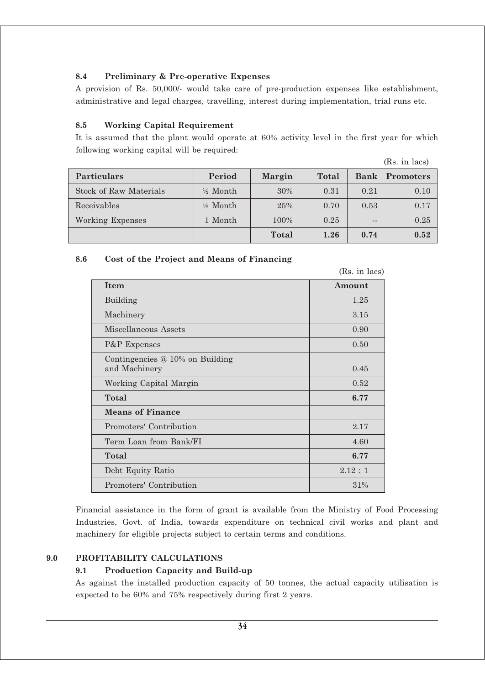# **8.4 Preliminary & Pre-operative Expenses**

A provision of Rs. 50,000/- would take care of pre-production expenses like establishment, administrative and legal charges, travelling, interest during implementation, trial runs etc.

# **8.5 Working Capital Requirement**

It is assumed that the plant would operate at 60% activity level in the first year for which following working capital will be required:

|  | (Rs. in lacs) |
|--|---------------|
|  |               |

| <b>Particulars</b>            | Period              | Margin | Total | Bank  | <b>Promoters</b> |
|-------------------------------|---------------------|--------|-------|-------|------------------|
| <b>Stock of Raw Materials</b> | $\frac{1}{2}$ Month | 30%    | 0.31  | 0.21  | 0.10             |
| Receivables                   | $\frac{1}{2}$ Month | 25%    | 0.70  | 0.53  | 0.17             |
| Working Expenses              | 1 Month             | 100%   | 0.25  | $- -$ | 0.25             |
|                               |                     | Total  | 1.26  | 0.74  | 0.52             |

# **8.6 Cost of the Project and Means of Financing**

|                                                    | (Rs. in lacs) |
|----------------------------------------------------|---------------|
| <b>Item</b>                                        | Amount        |
| Building                                           | 1.25          |
| Machinery                                          | 3.15          |
| Miscellaneous Assets                               | 0.90          |
| P&P Expenses                                       | 0.50          |
| Contingencies $@10\%$ on Building<br>and Machinery | 0.45          |
| Working Capital Margin                             | 0.52          |
| Total                                              | 6.77          |
| <b>Means of Finance</b>                            |               |
| Promoters' Contribution                            | 2.17          |
| Term Loan from Bank/FI                             | 4.60          |
| Total                                              | 6.77          |
| Debt Equity Ratio                                  | 2.12:1        |
| Promoters' Contribution                            | 31%           |

Financial assistance in the form of grant is available from the Ministry of Food Processing Industries, Govt. of India, towards expenditure on technical civil works and plant and machinery for eligible projects subject to certain terms and conditions.

# **9.0 PROFITABILITY CALCULATIONS**

# **9.1 Production Capacity and Build-up**

As against the installed production capacity of 50 tonnes, the actual capacity utilisation is expected to be 60% and 75% respectively during first 2 years.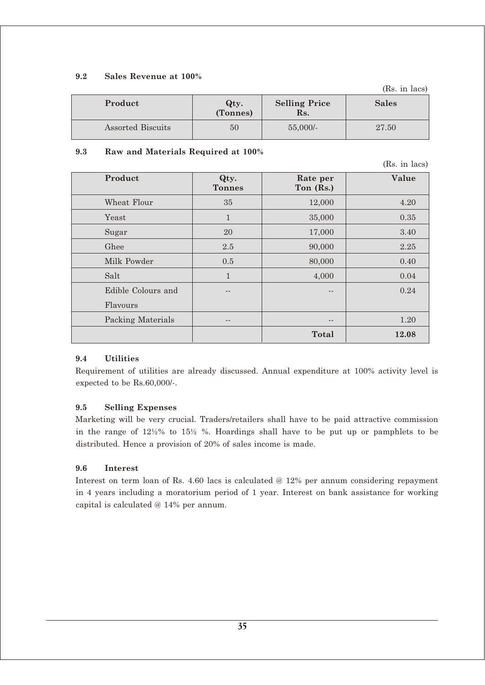# **9.2 Sales Revenue at 100%**

(Rs. in lacs)

| Product           | Qty.<br>(Tonnes) | <b>Selling Price</b><br>Rs. | <b>Sales</b> |
|-------------------|------------------|-----------------------------|--------------|
| Assorted Biscuits | 50               | $55,000/$ -                 | 27.50        |

# **9.3 Raw and Materials Required at 100%**

(Rs. in lacs)

| Product            | Qty.<br><b>Tonnes</b> | Rate per<br>Ton (Rs.) | Value |
|--------------------|-----------------------|-----------------------|-------|
| Wheat Flour        | 35                    | 12,000                | 4.20  |
| Yeast              | $\mathbf{1}$          | 35,000                | 0.35  |
| Sugar              | 20                    | 17,000                | 3.40  |
| Ghee               | 2.5                   | 90,000                | 2.25  |
| Milk Powder        | 0.5                   | 80,000                | 0.40  |
| Salt               | $\mathbf{1}$          | 4,000                 | 0.04  |
| Edible Colours and |                       | $- -$                 | 0.24  |
| Flavours           |                       |                       |       |
| Packing Materials  | --                    | --                    | 1.20  |
|                    |                       | <b>Total</b>          | 12.08 |

# **9.4 Utilities**

Requirement of utilities are already discussed. Annual expenditure at 100% activity level is expected to be Rs.60,000/-.

# **9.5 Selling Expenses**

Marketing will be very crucial. Traders/retailers shall have to be paid attractive commission in the range of 12½% to 15½ %. Hoardings shall have to be put up or pamphlets to be distributed. Hence a provision of 20% of sales income is made.

# **9.6 Interest**

Interest on term loan of Rs. 4.60 lacs is calculated @ 12% per annum considering repayment in 4 years including a moratorium period of 1 year. Interest on bank assistance for working capital is calculated @ 14% per annum.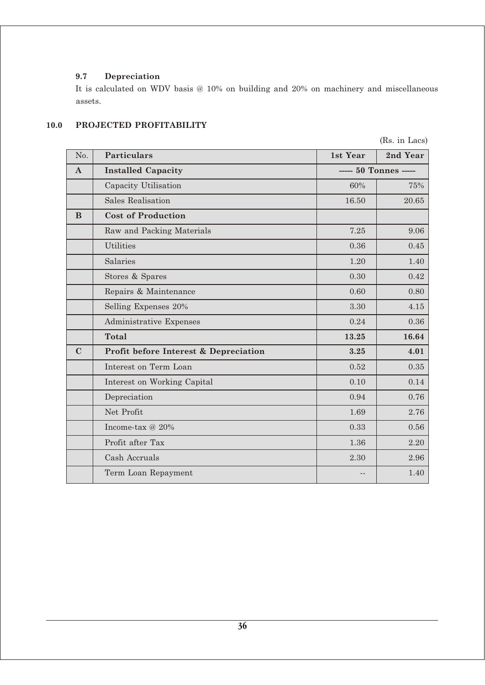# **9.7 Depreciation**

It is calculated on WDV basis @ 10% on building and 20% on machinery and miscellaneous assets.

# **10.0 PROJECTED PROFITABILITY**

| No.          | <b>Particulars</b>                    | 1st Year | 2nd Year              |
|--------------|---------------------------------------|----------|-----------------------|
| $\mathbf{A}$ | <b>Installed Capacity</b>             |          | ----- 50 Tonnes ----- |
|              | Capacity Utilisation                  | 60%      | 75%                   |
|              | Sales Realisation                     | 16.50    | 20.65                 |
| B            | <b>Cost of Production</b>             |          |                       |
|              | Raw and Packing Materials             | 7.25     | 9.06                  |
|              | <b>Utilities</b>                      | 0.36     | 0.45                  |
|              | Salaries                              | 1.20     | 1.40                  |
|              | Stores & Spares                       | 0.30     | 0.42                  |
|              | Repairs & Maintenance                 | 0.60     | 0.80                  |
|              | Selling Expenses 20%                  | 3.30     | 4.15                  |
|              | Administrative Expenses               | 0.24     | 0.36                  |
|              | <b>Total</b>                          | 13.25    | 16.64                 |
| $\mathbf C$  | Profit before Interest & Depreciation | 3.25     | 4.01                  |
|              | Interest on Term Loan                 | 0.52     | 0.35                  |
|              | Interest on Working Capital           | 0.10     | 0.14                  |
|              | Depreciation                          | 0.94     | 0.76                  |
|              | Net Profit                            | 1.69     | 2.76                  |
|              | Income-tax @ 20%                      | 0.33     | 0.56                  |
|              | Profit after Tax                      | 1.36     | 2.20                  |
|              | Cash Accruals                         | 2.30     | 2.96                  |
|              | Term Loan Repayment                   |          | 1.40                  |

(Rs. in Lacs)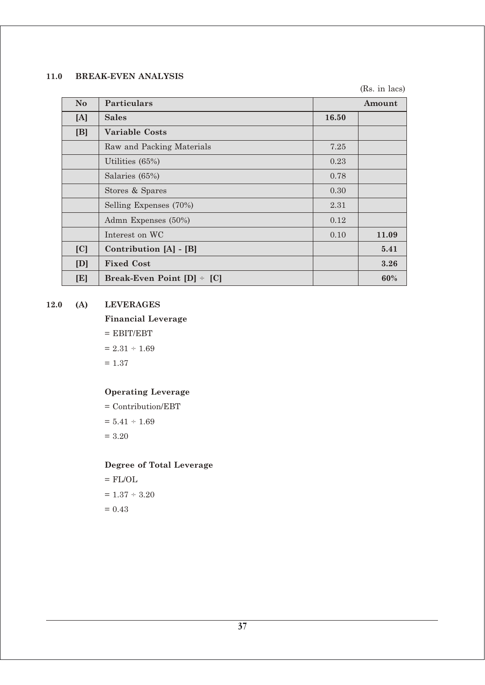### **11.0 BREAK-EVEN ANALYSIS**

(Rs. in lacs)

| N <sub>o</sub> | <b>Particulars</b>                |       | Amount |
|----------------|-----------------------------------|-------|--------|
| [A]            | <b>Sales</b>                      | 16.50 |        |
| [B]            | <b>Variable Costs</b>             |       |        |
|                | Raw and Packing Materials         | 7.25  |        |
|                | Utilities (65%)                   | 0.23  |        |
|                | Salaries (65%)                    | 0.78  |        |
|                | Stores & Spares                   | 0.30  |        |
|                | Selling Expenses (70%)            | 2.31  |        |
|                | Admn Expenses (50%)               | 0.12  |        |
|                | Interest on WC                    | 0.10  | 11.09  |
| [C]            | Contribution [A] - [B]            |       | 5.41   |
| [D]            | <b>Fixed Cost</b>                 |       | 3.26   |
| [E]            | Break-Even Point $[D]$ $\div$ [C] |       | 60%    |

### **12.0 (A) LEVERAGES**

**Financial Leverage**

 $=$  EBIT/EBT  $= 2.31 \div 1.69$  $= 1.37$ 

# **Operating Leverage**

= Contribution/EBT  $= 5.41 \div 1.69$ = 3.20

# **Degree of Total Leverage**

 $=$  FL/OL  $\,$  $= 1.37 \div 3.20$  $= 0.43$